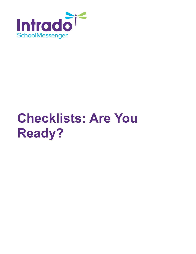

# **Checklists: Are You Ready?**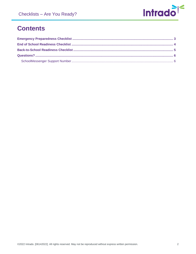

## **Contents**

<span id="page-1-0"></span>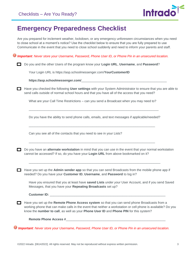

#### **Emergency Preparedness Checklist**

Are you prepared for inclement weather, lockdown, or any emergency unforeseen circumstances when you need to close school at a moment's notice? Use the checklist below to ensure that you are fully prepared to use Communicate in the event that you need to close school suddenly and need to inform your parents and staff.

*Important: Never store your Username, Password, Phone User ID, or Phone Pin in an unsecured location.*

Do you and the other Users of the program know your **Login URL**, **Username**, and **Password**?

Your Login URL is https://asp.schoolmessenger.com/**YourCustomerID**

**https://asp.schoolmessenger.com/**\_\_\_\_\_\_\_\_\_\_\_\_\_\_\_\_\_\_\_\_\_\_\_\_\_\_\_\_\_\_\_\_\_\_\_\_\_\_\_\_\_\_\_\_\_\_\_\_

Have you checked the following **User settings** with your System Administrator to ensure that you are able to send calls outside of normal school hours and that you have all of the access that you need?

What are your Call Time Restrictions – can you send a Broadcast when you may need to?

Do you have the ability to send phone calls, emails, and text messages if applicable/needed?

\_\_\_\_\_\_\_\_\_\_\_\_\_\_\_\_\_\_\_\_\_\_\_\_\_\_\_\_\_\_\_\_\_\_\_\_\_\_\_\_\_\_\_\_\_\_\_\_\_\_\_\_\_\_\_\_\_\_\_\_\_\_\_\_\_\_\_\_\_\_\_

 $\overline{\phantom{a}}$  ,  $\overline{\phantom{a}}$  ,  $\overline{\phantom{a}}$  ,  $\overline{\phantom{a}}$  ,  $\overline{\phantom{a}}$  ,  $\overline{\phantom{a}}$  ,  $\overline{\phantom{a}}$  ,  $\overline{\phantom{a}}$  ,  $\overline{\phantom{a}}$  ,  $\overline{\phantom{a}}$  ,  $\overline{\phantom{a}}$  ,  $\overline{\phantom{a}}$  ,  $\overline{\phantom{a}}$  ,  $\overline{\phantom{a}}$  ,  $\overline{\phantom{a}}$  ,  $\overline{\phantom{a}}$ 

 $\overline{\phantom{a}}$  ,  $\overline{\phantom{a}}$  ,  $\overline{\phantom{a}}$  ,  $\overline{\phantom{a}}$  ,  $\overline{\phantom{a}}$  ,  $\overline{\phantom{a}}$  ,  $\overline{\phantom{a}}$  ,  $\overline{\phantom{a}}$  ,  $\overline{\phantom{a}}$  ,  $\overline{\phantom{a}}$  ,  $\overline{\phantom{a}}$  ,  $\overline{\phantom{a}}$  ,  $\overline{\phantom{a}}$  ,  $\overline{\phantom{a}}$  ,  $\overline{\phantom{a}}$  ,  $\overline{\phantom{a}}$ 

Can you see all of the contacts that you need to see in your Lists?

Do you have an **alternate workstation** in mind that you can use in the event that your normal workstation cannot be accessed? If so, do you have your **Login URL** from above bookmarked on it?

Have you set up the **Admin sender app** so that you can send Broadcasts from the mobile phone app if needed? Do you have your **Customer ID**, **Username**, and **Password** to log in?

\_\_\_\_\_\_\_\_\_\_\_\_\_\_\_\_\_\_\_\_\_\_\_\_\_\_\_\_\_\_\_\_\_\_\_\_\_\_\_\_\_\_\_\_\_\_\_\_\_\_\_\_\_\_\_\_\_\_\_\_\_\_\_\_\_\_\_\_\_\_\_\_\_\_

Have you ensured that you at least have **saved Lists** under *your* User Account, and if you send Saved Messages, that you have your **Repeating Broadcasts** set up?

Customer ID:

Have you set up the **Remote Phone Access system** so that you can send phone Broadcasts from a working phone that can make calls in the event that neither a workstation or cell phone is available? Do you know the **number to call**, as well as your **Phone User ID** and **Phone PIN** for this system?

Remote Phone Access #

*Important: Never store your Username, Password, Phone User ID, or Phone Pin in an unsecured location.*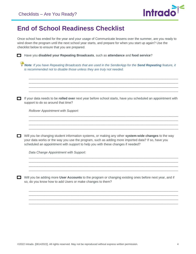

#### <span id="page-3-0"></span>**End of School Readiness Checklist**

Once school has ended for the year and your usage of Communicate lessens over the summer, are you ready to wind down the program until the next school year starts, and prepare for when you start up again? Use the checklist below to ensure that you are prepared.

Have you **disabled your Repeating Broadcasts**, such as **attendance** and **food service**?

*Note: If you have Repeating Broadcasts that are used in the SenderApp for the Send Repeating feature, it is recommended not to disable those unless they are truly not needed.*

\_\_\_\_\_\_\_\_\_\_\_\_\_\_\_\_\_\_\_\_\_\_\_\_\_\_\_\_\_\_\_\_\_\_\_\_\_\_\_\_\_\_\_\_\_\_\_\_\_\_\_\_\_\_\_\_\_\_\_\_\_\_\_\_\_\_\_\_\_\_\_\_\_\_\_\_\_\_\_\_\_\_\_\_ \_\_\_\_\_\_\_\_\_\_\_\_\_\_\_\_\_\_\_\_\_\_\_\_\_\_\_\_\_\_\_\_\_\_\_\_\_\_\_\_\_\_\_\_\_\_\_\_\_\_\_\_\_\_\_\_\_\_\_\_\_\_\_\_\_\_\_\_\_\_\_\_\_\_\_\_\_\_\_\_\_\_\_\_  $\mathcal{L}_\text{max}$  and the contribution of the contribution of the contribution of the contribution of the contribution of the contribution of the contribution of the contribution of the contribution of the contribution of the \_\_\_\_\_\_\_\_\_\_\_\_\_\_\_\_\_\_\_\_\_\_\_\_\_\_\_\_\_\_\_\_\_\_\_\_\_\_\_\_\_\_\_\_\_\_\_\_\_\_\_\_\_\_\_\_\_\_\_\_\_\_\_\_\_\_\_\_\_\_\_\_\_\_\_\_\_\_\_\_\_\_\_\_

If your data needs to be **rolled over** next year before school starts, have you scheduled an appointment with support to do so around that time?

\_\_\_\_\_\_\_\_\_\_\_\_\_\_\_\_\_\_\_\_\_\_\_\_\_\_\_\_\_\_\_\_\_\_\_\_\_\_\_\_\_\_\_\_\_\_\_\_\_\_\_\_\_\_\_\_\_\_\_\_\_\_\_\_\_\_\_\_\_\_\_\_\_\_\_\_\_\_\_\_\_\_\_\_ \_\_\_\_\_\_\_\_\_\_\_\_\_\_\_\_\_\_\_\_\_\_\_\_\_\_\_\_\_\_\_\_\_\_\_\_\_\_\_\_\_\_\_\_\_\_\_\_\_\_\_\_\_\_\_\_\_\_\_\_\_\_\_\_\_\_\_\_\_\_\_\_\_\_\_\_\_\_\_\_\_\_\_\_ \_\_\_\_\_\_\_\_\_\_\_\_\_\_\_\_\_\_\_\_\_\_\_\_\_\_\_\_\_\_\_\_\_\_\_\_\_\_\_\_\_\_\_\_\_\_\_\_\_\_\_\_\_\_\_\_\_\_\_\_\_\_\_\_\_\_\_\_\_\_\_\_\_\_\_\_\_\_\_\_\_\_\_\_ \_\_\_\_\_\_\_\_\_\_\_\_\_\_\_\_\_\_\_\_\_\_\_\_\_\_\_\_\_\_\_\_\_\_\_\_\_\_\_\_\_\_\_\_\_\_\_\_\_\_\_\_\_\_\_\_\_\_\_\_\_\_\_\_\_\_\_\_\_\_\_\_\_\_\_\_\_\_\_\_\_\_\_\_

\_\_\_\_\_\_\_\_\_\_\_\_\_\_\_\_\_\_\_\_\_\_\_\_\_\_\_\_\_\_\_\_\_\_\_\_\_\_\_\_\_\_\_\_\_\_\_\_\_\_\_\_\_\_\_\_\_\_\_\_\_\_\_\_\_\_\_\_\_\_\_\_\_\_\_\_\_\_\_\_\_\_\_\_ \_\_\_\_\_\_\_\_\_\_\_\_\_\_\_\_\_\_\_\_\_\_\_\_\_\_\_\_\_\_\_\_\_\_\_\_\_\_\_\_\_\_\_\_\_\_\_\_\_\_\_\_\_\_\_\_\_\_\_\_\_\_\_\_\_\_\_\_\_\_\_\_\_\_\_\_\_\_\_\_\_\_\_\_ \_\_\_\_\_\_\_\_\_\_\_\_\_\_\_\_\_\_\_\_\_\_\_\_\_\_\_\_\_\_\_\_\_\_\_\_\_\_\_\_\_\_\_\_\_\_\_\_\_\_\_\_\_\_\_\_\_\_\_\_\_\_\_\_\_\_\_\_\_\_\_\_\_\_\_\_\_\_\_\_\_\_\_\_ \_\_\_\_\_\_\_\_\_\_\_\_\_\_\_\_\_\_\_\_\_\_\_\_\_\_\_\_\_\_\_\_\_\_\_\_\_\_\_\_\_\_\_\_\_\_\_\_\_\_\_\_\_\_\_\_\_\_\_\_\_\_\_\_\_\_\_\_\_\_\_\_\_\_\_\_\_\_\_\_\_\_\_\_

\_\_\_\_\_\_\_\_\_\_\_\_\_\_\_\_\_\_\_\_\_\_\_\_\_\_\_\_\_\_\_\_\_\_\_\_\_\_\_\_\_\_\_\_\_\_\_\_\_\_\_\_\_\_\_\_\_\_\_\_\_\_\_\_\_\_\_\_\_\_\_\_\_\_\_\_\_\_\_\_\_\_\_\_ \_\_\_\_\_\_\_\_\_\_\_\_\_\_\_\_\_\_\_\_\_\_\_\_\_\_\_\_\_\_\_\_\_\_\_\_\_\_\_\_\_\_\_\_\_\_\_\_\_\_\_\_\_\_\_\_\_\_\_\_\_\_\_\_\_\_\_\_\_\_\_\_\_\_\_\_\_\_\_\_\_\_\_\_ \_\_\_\_\_\_\_\_\_\_\_\_\_\_\_\_\_\_\_\_\_\_\_\_\_\_\_\_\_\_\_\_\_\_\_\_\_\_\_\_\_\_\_\_\_\_\_\_\_\_\_\_\_\_\_\_\_\_\_\_\_\_\_\_\_\_\_\_\_\_\_\_\_\_\_\_\_\_\_\_\_\_\_\_ \_\_\_\_\_\_\_\_\_\_\_\_\_\_\_\_\_\_\_\_\_\_\_\_\_\_\_\_\_\_\_\_\_\_\_\_\_\_\_\_\_\_\_\_\_\_\_\_\_\_\_\_\_\_\_\_\_\_\_\_\_\_\_\_\_\_\_\_\_\_\_\_\_\_\_\_\_\_\_\_\_\_\_\_

*Rollover Appointment with Support:*

Will you be changing student information systems, or making any other **system-wide changes** to the way your data works or the way you use the program, such as adding more imported data? If so, have you scheduled an appointment with support to help you with these changes if needed?

*Data Change Appointment with Support:*

Will you be adding more **User Accounts** to the program or changing existing ones before next year, and if so, do you know how to add Users or make changes to them?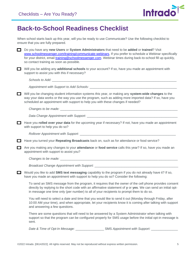

#### <span id="page-4-0"></span>**Back-to-School Readiness Checklist**

When school starts back up this year, will you be ready to use Communicate? Use the following checklist to ensure that you are fully prepared.

Do you have any **new Users** or **System Administrators** that need to be **added** or **trained**? Visit [www.schoolmessenger.com/training/communicate-webinars.](http://www.schoolmessenger.com/training/communicate-webinars) If you prefer to schedule a Webinar specifically for your district, email training@schoolmessenger.com. Webinar times during back-to-school fill up quickly, so contact training as soon as possible.

Will you be adding any **additional schools** to your account? If so, have you made an appointment with support to assist you with this if necessary?

*Schools to Add:* \_\_\_\_\_\_\_\_\_\_\_\_\_\_\_\_\_\_\_\_\_\_\_\_\_\_\_\_\_\_\_\_\_\_\_\_\_\_\_\_\_\_\_\_\_\_\_\_\_\_\_\_\_\_\_\_\_\_\_\_\_\_\_\_\_\_\_\_\_\_

Appointment with Support to Add Schools: \_\_\_\_\_\_

Will you be changing student information systems this year, or making any **system-wide changes** to the way your data works or the way you use the program, such as adding more imported data? If so, have you scheduled an appointment with support to help you with these changes if needed?

*Changes to be made:* \_\_\_\_\_\_\_\_\_\_\_\_\_\_\_\_\_\_\_\_\_\_\_\_\_\_\_\_\_\_\_\_\_\_\_\_\_\_\_\_\_\_\_\_\_\_\_\_\_\_\_\_\_\_\_\_\_\_\_\_\_\_\_\_\_\_

*Data Change Appointment with Support:* 

Have you **rolled over your data** for the upcoming year if necessary? If not, have you made an appointment with support to help you do so?

*Rollover Appointment with Support:* \_\_\_\_\_\_\_\_\_\_\_\_\_\_\_\_\_\_\_\_\_\_\_\_\_\_\_\_\_\_\_\_\_\_\_\_\_\_\_\_\_\_\_\_\_\_\_\_\_\_\_\_\_\_

Have you turned your **Repeating Broadcasts** back on, such as for attendance or food service?

Are you making any changes to your **attendance** or **food service** calls this year? If so, have you made an appointment with support to assist you?

*Changes to be made:* \_\_\_\_\_\_\_\_\_\_\_\_\_\_\_\_\_\_\_\_\_\_\_\_\_\_\_\_\_\_\_\_\_\_\_\_\_\_\_\_\_\_\_\_\_\_\_\_\_\_\_\_\_\_\_\_\_\_\_\_\_\_\_\_\_\_

*Broadcast Change Appointment with Support:* \_\_\_\_\_\_\_\_\_\_\_\_\_\_\_\_\_\_\_\_\_\_\_\_\_\_\_\_\_\_\_\_\_\_\_\_\_\_\_\_\_\_\_\_\_\_\_

Would you like to add **SMS text messaging** capability to the program if you do not already have it? If so, have you made an appointment with support to help you do so? Consider the following:

To send an SMS message from the program, it requires that the owner of the cell phone provides consent directly by replying to the short code with an affirmative statement of **y** or **yes**. We can send an initial optin message one time only (per number) to all of your recipients to prompt them to do so.

You will need to select a date and time that you would like to send it out (Monday through Friday, after 10:00 AM your time), and when appropriate, let your recipients know it is coming after talking with support and answering a few questions.

There are some questions that will need to be answered by a System Administrator when talking with support so that the program can be configured properly for SMS usage before the initial opt-in message is sent.

*Date & Time of Opt-In Message:* \_\_\_\_\_\_\_\_\_\_\_\_\_\_\_\_ SMS *Appointment with Support:* \_\_\_\_\_\_\_\_\_\_\_\_\_\_\_